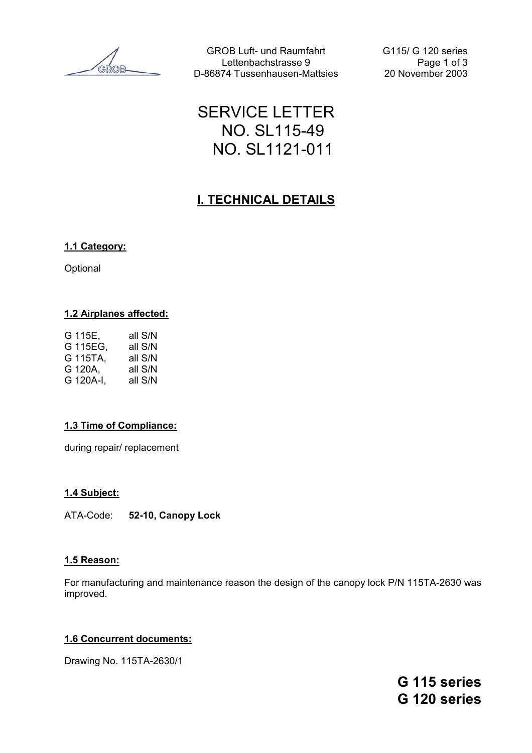GROB Luft- und Raumfahrt G115/ G 120 series Lettenbachstrasse 9 Page 1 of 3 D-86874 Tussenhausen-Mattsies 20 November 2003

# SERVICE LETTER NO. SL115-49 NO. SL1121-011

## **I. TECHNICAL DETAILS**

#### **1.1 Category:**

Optional

#### **1.2 Airplanes affected:**

| G 115E.   | all S/N |
|-----------|---------|
| G 115EG.  | all S/N |
| G 115TA,  | all S/N |
| G 120A.   | all S/N |
| G 120A-I, | all S/N |

#### **1.3 Time of Compliance:**

during repair/ replacement

#### **1.4 Subject:**

ATA-Code: **52-10, Canopy Lock**

#### **1.5 Reason:**

For manufacturing and maintenance reason the design of the canopy lock P/N 115TA-2630 was improved.

#### **1.6 Concurrent documents:**

Drawing No. 115TA-2630/1

**G 115 series G 120 series**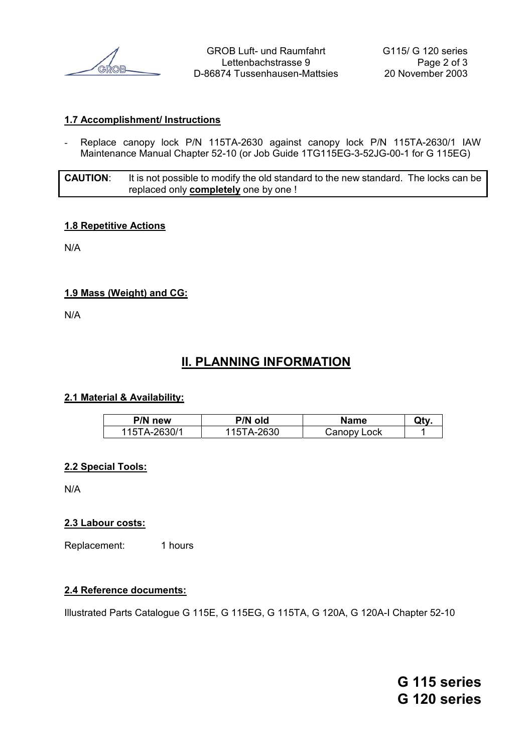

GROB Luft- und Raumfahrt G115/ G 120 series Lettenbachstrasse 9 Page 2 of 3 D-86874 Tussenhausen-Mattsies 20 November 2003

#### **1.7 Accomplishment/ Instructions**

- Replace canopy lock P/N 115TA-2630 against canopy lock P/N 115TA-2630/1 IAW Maintenance Manual Chapter 52-10 (or Job Guide 1TG115EG-3-52JG-00-1 for G 115EG)

**CAUTION**: It is not possible to modify the old standard to the new standard. The locks can be replaced only **completely** one by one !

#### **1.8 Repetitive Actions**

N/A

#### **1.9 Mass (Weight) and CG:**

N/A

## **II. PLANNING INFORMATION**

#### **2.1 Material & Availability:**

| P/N new      | P/N old   | Name        | Qt۱ |
|--------------|-----------|-------------|-----|
| 115TA-2630/1 | 15TA-2630 | Canopy Lock |     |

#### **2.2 Special Tools:**

N/A

#### **2.3 Labour costs:**

Replacement: 1 hours

#### **2.4 Reference documents:**

Illustrated Parts Catalogue G 115E, G 115EG, G 115TA, G 120A, G 120A-I Chapter 52-10

**G 115 series G 120 series**